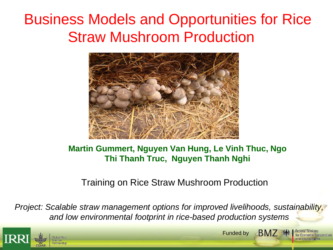# Business Models and Opportunities for Rice Straw Mushroom Production



#### **Martin Gummert, Nguyen Van Hung, Le Vinh Thuc, Ngo Thi Thanh Truc, Nguyen Thanh Nghi**

#### Training on Rice Straw Mushroom Production

*Project: Scalable straw management options for improved livelihoods, sustainability, and low environmental footprint in rice-based production systems*



**BMZ** · Funded by

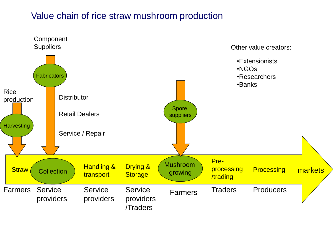#### Value chain of rice straw mushroom production

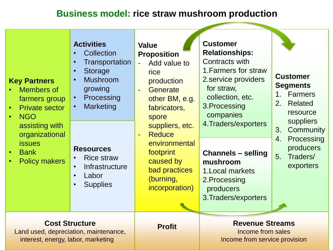#### **Business model: rice straw mushroom production**

| <b>Key Partners</b><br><b>Members of</b><br>farmers group<br><b>Private sector</b><br><b>NGO</b><br>assisting with<br>organizational<br><b>issues</b><br><b>Bank</b><br>$\bullet$<br><b>Policy makers</b><br>$\bullet$ | <b>Activities</b><br>Collection<br>Transportation<br>$\bullet$<br><b>Storage</b><br>$\bullet$<br><b>Mushroom</b><br>$\bullet$<br>growing<br>Processing<br>$\bullet$<br>Marketing<br>$\bullet$<br><b>Resources</b><br><b>Rice straw</b><br>$\bullet$<br>Infrastructure<br>$\bullet$<br>Labor<br>$\bullet$<br><b>Supplies</b><br>$\bullet$ | <b>Value</b><br><b>Proposition</b><br>Add value to<br>rice<br>production<br>Generate<br>other BM, e.g.<br>fabricators,<br>spore<br>suppliers, etc.<br><b>Reduce</b><br>environmental<br>footprint<br>caused by<br>bad practices<br>(burning,<br>incorporation) | <b>Customer</b><br><b>Relationships:</b><br>Contracts with<br>1. Farmers for straw<br>2. service providers<br>for straw,<br>collection, etc.<br>3. Processing<br>companies<br>4. Traders/exporters<br><b>Channels - selling</b><br>mushroom<br>1. Local markets<br>2. Processing<br>producers<br>3. Traders/exporters | <b>Customer</b><br><b>Segments</b><br>Farmers<br>$1_{-}$<br>2. Related<br>resource<br>suppliers<br>3.<br>Community<br>Processing<br>4.<br>producers<br>5 <sub>1</sub><br>Traders/<br>exporters |
|------------------------------------------------------------------------------------------------------------------------------------------------------------------------------------------------------------------------|------------------------------------------------------------------------------------------------------------------------------------------------------------------------------------------------------------------------------------------------------------------------------------------------------------------------------------------|----------------------------------------------------------------------------------------------------------------------------------------------------------------------------------------------------------------------------------------------------------------|-----------------------------------------------------------------------------------------------------------------------------------------------------------------------------------------------------------------------------------------------------------------------------------------------------------------------|------------------------------------------------------------------------------------------------------------------------------------------------------------------------------------------------|
| <b>Cost Structure</b><br>Land used, depreciation, maintenance,<br>interest, energy, labor, marketing                                                                                                                   |                                                                                                                                                                                                                                                                                                                                          | <b>Profit</b>                                                                                                                                                                                                                                                  | <b>Revenue Streams</b><br>Income from sales<br>Income from service provision                                                                                                                                                                                                                                          |                                                                                                                                                                                                |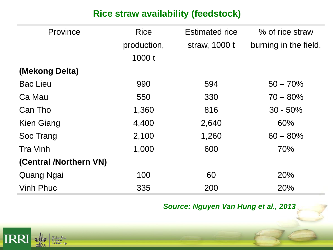### **Rice straw availability (feedstock)**

| Province               | <b>Rice</b> | <b>Estimated rice</b> | % of rice straw       |
|------------------------|-------------|-----------------------|-----------------------|
|                        | production, | straw, 1000 t         | burning in the field, |
|                        | 1000t       |                       |                       |
| (Mekong Delta)         |             |                       |                       |
| <b>Bac Lieu</b>        | 990         | 594                   | $50 - 70%$            |
| Ca Mau                 | 550         | 330                   | $70 - 80\%$           |
| Can Tho                | 1,360       | 816                   | $30 - 50\%$           |
| <b>Kien Giang</b>      | 4,400       | 2,640                 | 60%                   |
| Soc Trang              | 2,100       | 1,260                 | $60 - 80\%$           |
| <b>Tra Vinh</b>        | 1,000       | 600                   | 70%                   |
| (Central /Northern VN) |             |                       |                       |
| <b>Quang Ngai</b>      | 100         | 60                    | 20%                   |
| <b>Vinh Phuc</b>       | 335         | 200                   | 20%                   |

*Source: Nguyen Van Hung et al., 2013*

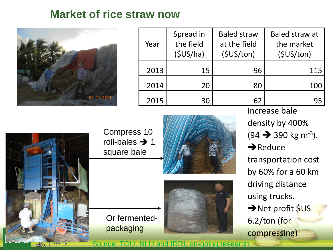### **Market of rice straw now**



| Year | Spread in<br>the field<br>(SUS/ha) | <b>Baled straw</b><br>at the field<br>(SUS/ton) | Baled straw at<br>the market<br>(SUS/ton) |
|------|------------------------------------|-------------------------------------------------|-------------------------------------------|
| 2013 | 15                                 | 96                                              | 115                                       |
| 2014 | 20                                 | 80                                              | 100                                       |
| 2015 | 30                                 | 62                                              | 95                                        |



Compress 10 roll-bales  $\rightarrow$  1 square bale

Or fermented-

packaging





Increase bale density by 400%  $(94 \rightarrow 390 \text{ kg m}^{-3}).$  $\rightarrow$ Reduce transportation cost by 60% for a 60 km driving distance using trucks. → Net profit \$US 6.2/ton (for compressing)

Source: TGU, NLU and IRRI, on-going research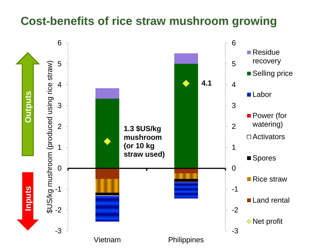### **Cost-benefits of rice straw mushroom growing**

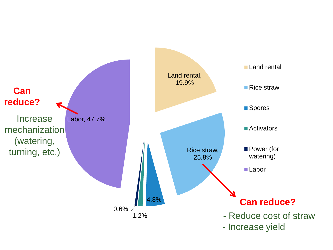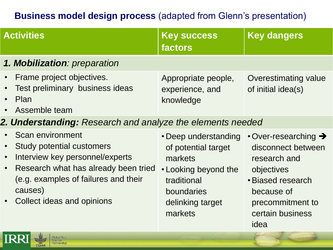### **Business model design process** (adapted from Glenn's presentation)

| 1. Mobilization: preparation<br>Frame project objectives.<br>Appropriate people,<br><b>Overestimating value</b><br>$\bullet$<br>Test preliminary business ideas<br>experience, and<br>of initial idea(s)<br>Plan<br>$\bullet$<br>knowledge<br>Assemble team<br>2. Understanding: Research and analyze the elements needed<br>Scan environment<br>$\cdot$ Over-researching $\rightarrow$<br>• Deep understanding<br><b>Study potential customers</b><br>of potential target<br>disconnect between<br>Interview key personnel/experts<br>markets<br>research and<br>Research what has already been tried<br>• Looking beyond the<br>objectives<br>(e.g. examples of failures and their<br>· Biased research<br>traditional<br>causes)<br>boundaries<br>because of<br>Collect ideas and opinions<br>delinking target<br>precommitment to<br>markets<br>certain business<br>idea | <b>Activities</b> | <b>Key success</b><br>factors | <b>Key dangers</b> |
|------------------------------------------------------------------------------------------------------------------------------------------------------------------------------------------------------------------------------------------------------------------------------------------------------------------------------------------------------------------------------------------------------------------------------------------------------------------------------------------------------------------------------------------------------------------------------------------------------------------------------------------------------------------------------------------------------------------------------------------------------------------------------------------------------------------------------------------------------------------------------|-------------------|-------------------------------|--------------------|
|                                                                                                                                                                                                                                                                                                                                                                                                                                                                                                                                                                                                                                                                                                                                                                                                                                                                              |                   |                               |                    |
|                                                                                                                                                                                                                                                                                                                                                                                                                                                                                                                                                                                                                                                                                                                                                                                                                                                                              |                   |                               |                    |
|                                                                                                                                                                                                                                                                                                                                                                                                                                                                                                                                                                                                                                                                                                                                                                                                                                                                              |                   |                               |                    |
|                                                                                                                                                                                                                                                                                                                                                                                                                                                                                                                                                                                                                                                                                                                                                                                                                                                                              |                   |                               |                    |

**IRR** 

**Global Rice** Science-Partnership

**CGIAR**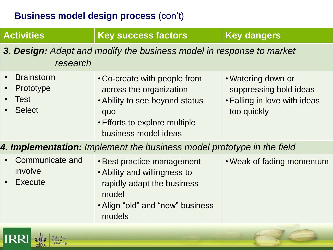#### **Business model design process** (con't)

ய

w

CGIAR

Partnership

| <b>Activities</b>                                                                | <b>Key success factors</b>                                                                                                                                | <b>Key dangers</b>                                                                          |  |
|----------------------------------------------------------------------------------|-----------------------------------------------------------------------------------------------------------------------------------------------------------|---------------------------------------------------------------------------------------------|--|
| 3. Design: Adapt and modify the business model in response to market<br>research |                                                                                                                                                           |                                                                                             |  |
| <b>Brainstorm</b><br>Prototype<br>Test<br><b>Select</b>                          | • Co-create with people from<br>across the organization<br>• Ability to see beyond status<br>quo<br>• Efforts to explore multiple<br>business model ideas | • Watering down or<br>suppressing bold ideas<br>• Falling in love with ideas<br>too quickly |  |
|                                                                                  | 4. Implementation: Implement the business model prototype in the field                                                                                    |                                                                                             |  |
| Communicate and<br>involve<br><b>Execute</b>                                     | • Best practice management<br>• Ability and willingness to<br>rapidly adapt the business<br>model<br>• Align "old" and "new" business<br>models           | • Weak of fading momentum                                                                   |  |
| <b>Global Rice</b>                                                               |                                                                                                                                                           |                                                                                             |  |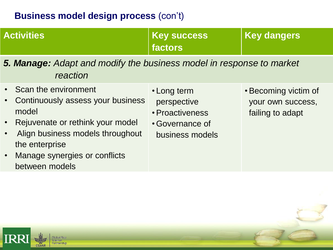#### **Business model design process** (con't)

| <b>Activities</b>                                                                                                                                                                                               | <b>Key success</b><br>factors                                                       | <b>Key dangers</b>                                            |
|-----------------------------------------------------------------------------------------------------------------------------------------------------------------------------------------------------------------|-------------------------------------------------------------------------------------|---------------------------------------------------------------|
| <b>5. Manage:</b> Adapt and modify the business model in response to market<br>reaction                                                                                                                         |                                                                                     |                                                               |
| Scan the environment<br>Continuously assess your business<br>model<br>Rejuvenate or rethink your model<br>Align business models throughout<br>the enterprise<br>Manage synergies or conflicts<br>between models | • Long term<br>perspective<br>• Proactiveness<br>• Governance of<br>business models | • Becoming victim of<br>your own success,<br>failing to adapt |
|                                                                                                                                                                                                                 |                                                                                     |                                                               |